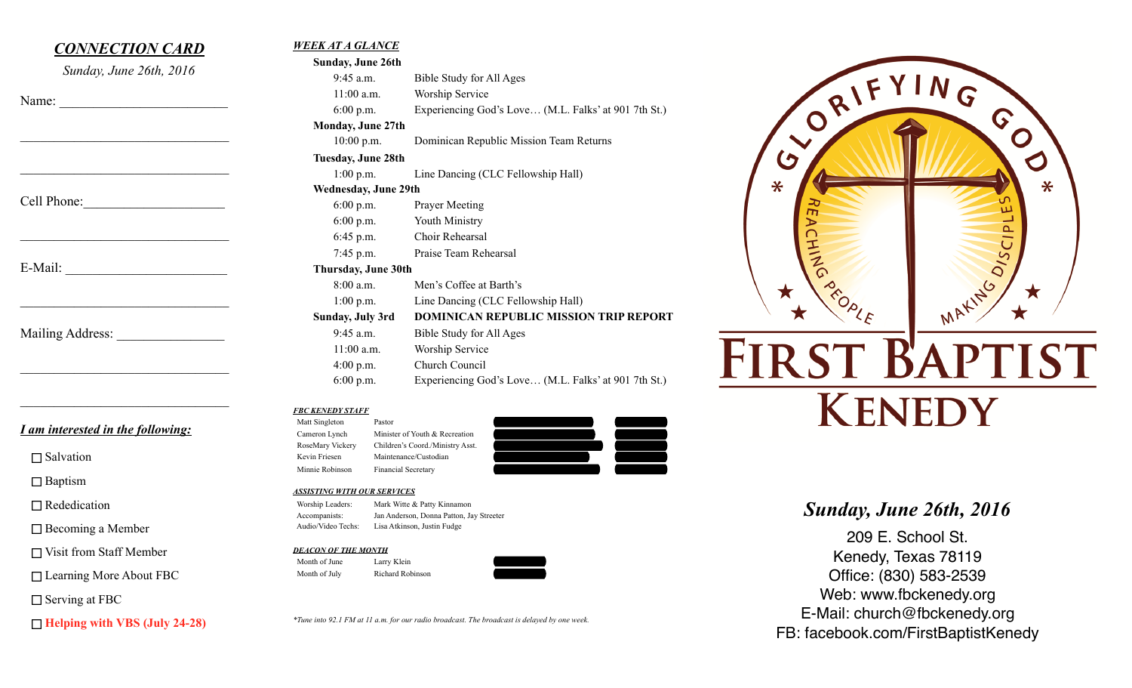| <b>CONNECTION CARD</b>            | <b>WEEK AT A GLANCE</b>                             |                                                      |                         |                          |
|-----------------------------------|-----------------------------------------------------|------------------------------------------------------|-------------------------|--------------------------|
| Sunday, June 26th, 2016           | Sunday, June 26th                                   |                                                      |                         |                          |
|                                   | $9:45$ a.m.                                         | Bible Study for All Ages                             |                         | (1N <sub>G</sub> )       |
|                                   | $11:00$ a.m.                                        | Worship Service                                      |                         |                          |
| Name:                             | 6:00 p.m.                                           | Experiencing God's Love (M.L. Falks' at 901 7th St.) |                         |                          |
|                                   | Monday, June 27th                                   |                                                      | $\sim 0^{R1}$           | G                        |
|                                   | $10:00$ p.m.                                        | Dominican Republic Mission Team Returns              |                         | $\overline{\mathcal{O}}$ |
|                                   | Tuesday, June 28th                                  |                                                      | $\bm{\bm{\mathcal{G}}}$ |                          |
|                                   | $1:00$ p.m.                                         | Line Dancing (CLC Fellowship Hall)                   |                         |                          |
|                                   |                                                     |                                                      | $\ast$                  | $\ast$                   |
| Cell Phone:                       | Wednesday, June 29th                                |                                                      |                         |                          |
|                                   | $6:00$ p.m.                                         | <b>Prayer Meeting</b>                                |                         | ш                        |
|                                   | $6:00$ p.m.                                         | Youth Ministry                                       |                         | $\Delta$                 |
|                                   | $6:45$ p.m.                                         | Choir Rehearsal                                      |                         | $\cup$                   |
|                                   | 7:45 p.m.                                           | Praise Team Rehearsal                                |                         |                          |
| E-Mail:                           | Thursday, June 30th                                 |                                                      |                         | MAKING OIS               |
|                                   | $8:00$ a.m.                                         | Men's Coffee at Barth's                              |                         |                          |
|                                   | $1:00$ p.m.                                         | Line Dancing (CLC Fellowship Hall)                   |                         |                          |
|                                   | Sunday, July 3rd                                    | <b>DOMINICAN REPUBLIC MISSION TRIP REPORT</b>        |                         |                          |
|                                   |                                                     |                                                      |                         |                          |
| Mailing Address:                  | 9:45 a.m.                                           | Bible Study for All Ages                             |                         |                          |
|                                   | $11:00$ a.m.                                        | <b>Worship Service</b>                               |                         |                          |
|                                   | 4:00 p.m.                                           | Church Council                                       | <b>FIRST BAPTIST</b>    |                          |
|                                   | $6:00$ p.m.                                         | Experiencing God's Love (M.L. Falks' at 901 7th St.) |                         |                          |
|                                   |                                                     |                                                      |                         |                          |
|                                   | <b>FBC KENEDY STAFF</b><br>Matt Singleton<br>Pastor |                                                      | <b>KENEDY</b>           |                          |
| I am interested in the following: | Minister of Youth & Recreation<br>Cameron Lynch     |                                                      |                         |                          |
|                                   | RoseMary Vickery                                    | Children's Coord./Ministry Asst.                     |                         |                          |
| $\Box$ Salvation                  | Kevin Friesen                                       | Maintenance/Custodian                                |                         |                          |
|                                   | Minnie Robinson                                     | <b>Financial Secretary</b>                           |                         |                          |
| $\Box$ Baptism                    | <b>ASSISTING WITH OUR SERVICES</b>                  |                                                      |                         |                          |
| $\Box$ Rededication               | Worship Leaders:                                    | Mark Witte & Patty Kinnamon                          |                         |                          |

□ Rededication

□ Becoming a Member

□ Visit from Staff Member

□ Learning More About FBC

□ Serving at FBC

**Helping with VBS (July 24-28)**

# Accompanists: Jan Anderson, Donna Patton, Jay Streeter Audio/Video Techs: Lisa Atkinson, Justin Fudge

#### *DEACON OF THE MONTH* Month of June Larry Klein Month of July Richard Robinson



*\*Tune into 92.1 FM at 11 a.m. for our radio broadcast. The broadcast is delayed by one week.*

*Sunday, June 26th, 2016* 

209 E. School St. Kenedy, Texas 78119 Office: (830) 583-2539 Web: www.fbckenedy.org E-Mail: church@fbckenedy.org FB: facebook.com/FirstBaptistKenedy